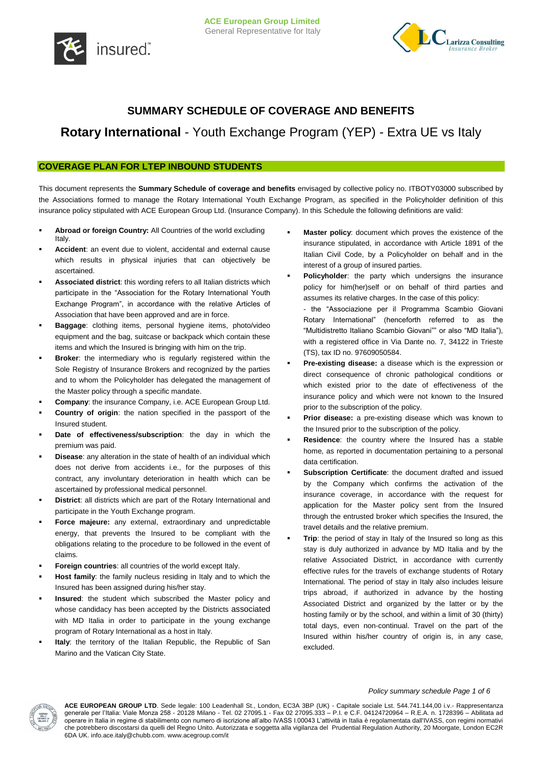



# **SUMMARY SCHEDULE OF COVERAGE AND BENEFITS**

**Rotary International** - Youth Exchange Program (YEP) - Extra UE vs Italy

# **COVERAGE PLAN FOR LTEP INBOUND STUDENTS**

This document represents the **Summary Schedule of coverage and benefits** envisaged by collective policy no. ITBOTY03000 subscribed by the Associations formed to manage the Rotary International Youth Exchange Program, as specified in the Policyholder definition of this insurance policy stipulated with ACE European Group Ltd. (Insurance Company). In this Schedule the following definitions are valid:

- **Abroad or foreign Country:** All Countries of the world excluding Italy.
- **Accident**: an event due to violent, accidental and external cause which results in physical injuries that can objectively be ascertained.
- **Associated district**: this wording refers to all Italian districts which participate in the "Association for the Rotary International Youth Exchange Program", in accordance with the relative Articles of Association that have been approved and are in force.
- **Baggage**: clothing items, personal hygiene items, photo/video equipment and the bag, suitcase or backpack which contain these items and which the Insured is bringing with him on the trip.
- **Broker**: the intermediary who is regularly registered within the Sole Registry of Insurance Brokers and recognized by the parties and to whom the Policyholder has delegated the management of the Master policy through a specific mandate.
- **Company**: the insurance Company, i.e. ACE European Group Ltd.
- **Country of origin**: the nation specified in the passport of the Insured student.
- **Date of effectiveness/subscription**: the day in which the premium was paid.
- **Disease**: any alteration in the state of health of an individual which does not derive from accidents i.e., for the purposes of this contract, any involuntary deterioration in health which can be ascertained by professional medical personnel.
- **District**: all districts which are part of the Rotary International and participate in the Youth Exchange program.
- **Force majeure:** any external, extraordinary and unpredictable energy, that prevents the Insured to be compliant with the obligations relating to the procedure to be followed in the event of claims.
- **Foreign countries**: all countries of the world except Italy.
- **Host family**: the family nucleus residing in Italy and to which the Insured has been assigned during his/her stay.
- **Insured**: the student which subscribed the Master policy and whose candidacy has been accepted by the Districts associated with MD Italia in order to participate in the young exchange program of Rotary International as a host in Italy.
- **Italy**: the territory of the Italian Republic, the Republic of San Marino and the Vatican City State.
- **Master policy**: document which proves the existence of the insurance stipulated, in accordance with Article 1891 of the Italian Civil Code, by a Policyholder on behalf and in the interest of a group of insured parties.
- **Policyholder**: the party which undersigns the insurance policy for him(her)self or on behalf of third parties and assumes its relative charges. In the case of this policy: - the "Associazione per il Programma Scambio Giovani Rotary International" (henceforth referred to as the "Multidistretto Italiano Scambio Giovani"" or also "MD Italia"), with a registered office in Via Dante no. 7, 34122 in Trieste (TS), tax ID no. 97609050584.
- **Pre-existing disease:** a disease which is the expression or direct consequence of chronic pathological conditions or which existed prior to the date of effectiveness of the insurance policy and which were not known to the Insured prior to the subscription of the policy.
- **Prior disease:** a pre-existing disease which was known to the Insured prior to the subscription of the policy.
- **Residence**: the country where the Insured has a stable home, as reported in documentation pertaining to a personal data certification.
- **Subscription Certificate**: the document drafted and issued by the Company which confirms the activation of the insurance coverage, in accordance with the request for application for the Master policy sent from the Insured through the entrusted broker which specifies the Insured, the travel details and the relative premium.
- **Trip**: the period of stay in Italy of the Insured so long as this stay is duly authorized in advance by MD Italia and by the relative Associated District, in accordance with currently effective rules for the travels of exchange students of Rotary International. The period of stay in Italy also includes leisure trips abroad, if authorized in advance by the hosting Associated District and organized by the latter or by the hosting family or by the school, and within a limit of 30 (thirty) total days, even non-continual. Travel on the part of the Insured within his/her country of origin is, in any case, excluded.



**ACE EUROPEAN GROUP LTD**. Sede legale: 100 Leadenhall St., London, EC3A 3BP (UK) - Capitale sociale Lst. 544.741.144,00 i.v.- Rappresentanza generale per l'Italia: Viale Monza 258 - 20128 Milano - Tel. 02 27095.1 - Fax 02 27095.333 – P.I. e C.F. 04124720964 – R.E.A. n. 1728396 – Abilitata ad operare in Italia in regime di stabilimento con numero di iscrizione all'albo IVASS I.00043 L'attività in Italia è regolamentata dall'IVASS, con regimi normativi che potrebbero discostarsi da quelli del Regno Unito. Autorizzata e soggetta alla vigilanza del Prudential Regulation Authority, 20 Moorgate, London EC2R 6DA UK. info.ace.italy@chubb.com. www.acegroup.com/it

### *Policy summary schedule Page 1 of 6*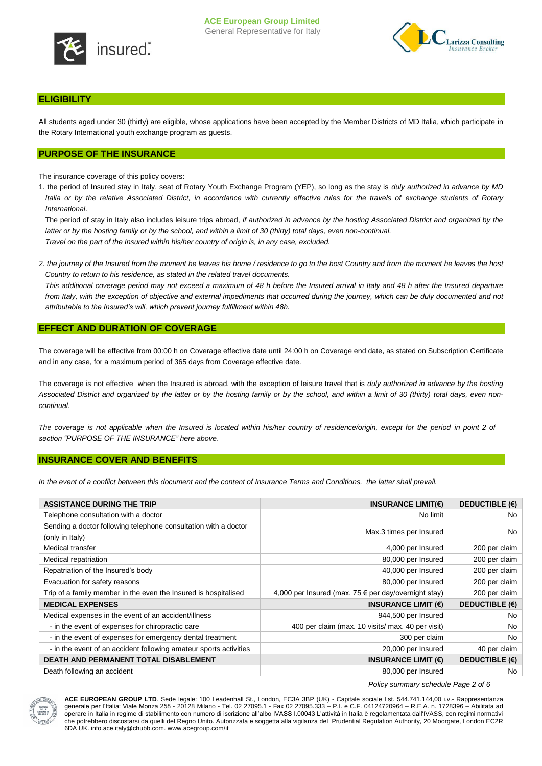

# **ELIGIBILITY**

All students aged under 30 (thirty) are eligible, whose applications have been accepted by the Member Districts of MD Italia, which participate in the Rotary International youth exchange program as guests.

# **PURPOSE OF THE INSURANCE**

The insurance coverage of this policy covers:

1. the period of Insured stay in Italy, seat of Rotary Youth Exchange Program (YEP), so long as the stay is *duly authorized in advance by MD Italia or by the relative Associated District, in accordance with currently effective rules for the travels of exchange students of Rotary International*.

The period of stay in Italy also includes leisure trips abroad, *if authorized in advance by the hosting Associated District and organized by the latter or by the hosting family or by the school, and within a limit of 30 (thirty) total days, even non-continual. Travel on the part of the Insured within his/her country of origin is, in any case, excluded.*

*2. the journey of the Insured from the moment he leaves his home / residence to go to the host Country and from the moment he leaves the host Country to return to his residence, as stated in the related travel documents.*

*This additional coverage period may not exceed a maximum of 48 h before the Insured arrival in Italy and 48 h after the Insured departure from Italy, with the exception of objective and external impediments that occurred during the journey, which can be duly documented and not attributable to the Insured's will, which prevent journey fulfillment within 48h.*

# **EFFECT AND DURATION OF COVERAGE**

The coverage will be effective from 00:00 h on Coverage effective date until 24:00 h on Coverage end date, as stated on Subscription Certificate and in any case, for a maximum period of 365 days from Coverage effective date.

The coverage is not effective when the Insured is abroad, with the exception of leisure travel that is *duly authorized in advance by the hosting Associated District and organized by the latter or by the hosting family or by the school, and within a limit of 30 (thirty) total days, even noncontinual*.

*The coverage is not applicable when the Insured is located within his/her country of residence/origin, except for the period in point 2 of section "PURPOSE OF THE INSURANCE" here above.*

# **INSURANCE COVER AND BENEFITS**

*In the event of a conflict between this document and the content of Insurance Terms and Conditions, the latter shall prevail.*

| <b>ASSISTANCE DURING THE TRIP</b>                                                  | INSURANCE LIMIT( $\epsilon$ )                                 | DEDUCTIBLE $(\epsilon)$ |
|------------------------------------------------------------------------------------|---------------------------------------------------------------|-------------------------|
| Telephone consultation with a doctor                                               | No limit                                                      | No.                     |
| Sending a doctor following telephone consultation with a doctor<br>(only in Italy) | Max.3 times per Insured                                       | No.                     |
| Medical transfer                                                                   | 4,000 per Insured                                             | 200 per claim           |
| Medical repatriation                                                               | 80,000 per Insured                                            | 200 per claim           |
| Repatriation of the Insured's body                                                 | 40,000 per Insured                                            | 200 per claim           |
| Evacuation for safety reasons                                                      | 80,000 per Insured                                            | 200 per claim           |
| Trip of a family member in the even the Insured is hospitalised                    | 4,000 per Insured (max. 75 $\epsilon$ per day/overnight stay) | 200 per claim           |
| <b>MEDICAL EXPENSES</b>                                                            | INSURANCE LIMIT $(\epsilon)$                                  | DEDUCTIBLE $(\epsilon)$ |
| Medical expenses in the event of an accident/illness                               | 944,500 per Insured                                           | No                      |
| - in the event of expenses for chiropractic care                                   | 400 per claim (max. 10 visits/ max. 40 per visit)             | <b>No</b>               |
| - in the event of expenses for emergency dental treatment                          | 300 per claim                                                 | No.                     |
| - in the event of an accident following amateur sports activities                  | 20,000 per Insured                                            | 40 per claim            |
| <b>DEATH AND PERMANENT TOTAL DISABLEMENT</b>                                       | INSURANCE LIMIT $(6)$                                         | DEDUCTIBLE $(\epsilon)$ |
| Death following an accident                                                        | 80,000 per Insured                                            | No.                     |

*Policy summary schedule Page 2 of 6*

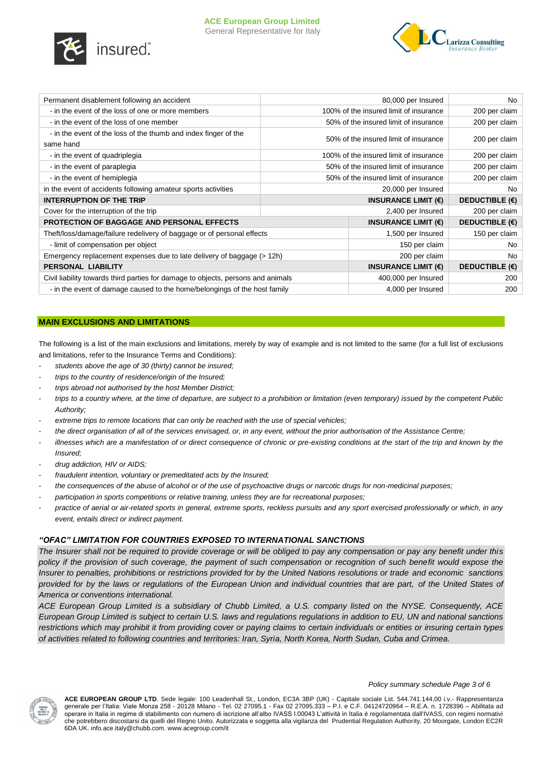



| Permanent disablement following an accident                                      |  | 80,000 per Insured                     | No.                     |
|----------------------------------------------------------------------------------|--|----------------------------------------|-------------------------|
| - in the event of the loss of one or more members                                |  | 100% of the insured limit of insurance | 200 per claim           |
| - in the event of the loss of one member                                         |  | 50% of the insured limit of insurance  | 200 per claim           |
| - in the event of the loss of the thumb and index finger of the<br>same hand     |  | 50% of the insured limit of insurance  | 200 per claim           |
| - in the event of quadriplegia                                                   |  | 100% of the insured limit of insurance | 200 per claim           |
| - in the event of paraplegia                                                     |  | 50% of the insured limit of insurance  | 200 per claim           |
| - in the event of hemiplegia                                                     |  | 50% of the insured limit of insurance  | 200 per claim           |
| in the event of accidents following amateur sports activities                    |  | 20,000 per Insured                     | No                      |
| <b>INTERRUPTION OF THE TRIP</b>                                                  |  | INSURANCE LIMIT $(\epsilon)$           | DEDUCTIBLE $(\epsilon)$ |
| Cover for the interruption of the trip                                           |  | 2,400 per Insured                      | 200 per claim           |
| <b>PROTECTION OF BAGGAGE AND PERSONAL EFFECTS</b>                                |  | INSURANCE LIMIT $(\epsilon)$           | DEDUCTIBLE $(\epsilon)$ |
| Theft/loss/damage/failure redelivery of baggage or of personal effects           |  |                                        | 150 per claim           |
| - limit of compensation per object                                               |  | 1,500 per Insured                      |                         |
|                                                                                  |  | 150 per claim                          | <b>No</b>               |
| Emergency replacement expenses due to late delivery of baggage (> 12h)           |  | 200 per claim                          | <b>No</b>               |
| PERSONAL LIABILITY                                                               |  | INSURANCE LIMIT $(\epsilon)$           | DEDUCTIBLE $(\epsilon)$ |
| Civil liability towards third parties for damage to objects, persons and animals |  | 400,000 per Insured                    | 200                     |

# **MAIN EXCLUSIONS AND LIMITATIONS**

The following is a list of the main exclusions and limitations, merely by way of example and is not limited to the same (for a full list of exclusions and limitations, refer to the Insurance Terms and Conditions):

- students above the age of 30 (thirty) cannot be insured:
- *trips to the country of residence/origin of the Insured;*
- *trips abroad not authorised by the host Member District;*
- *trips to a country where, at the time of departure, are subject to a prohibition or limitation (even temporary) issued by the competent Public Authority;*
- extreme trips to remote locations that can only be reached with the use of special vehicles;
- *the direct organisation of all of the services envisaged, or, in any event, without the prior authorisation of the Assistance Centre;*
- *illnesses which are a manifestation of or direct consequence of chronic or pre-existing conditions at the start of the trip and known by the Insured;*
- *drug addiction, HIV or AIDS;*
- *fraudulent intention, voluntary or premeditated acts by the Insured;*
- *the consequences of the abuse of alcohol or of the use of psychoactive drugs or narcotic drugs for non-medicinal purposes;*
- *participation in sports competitions or relative training, unless they are for recreational purposes;*
- practice of aerial or air-related sports in general, extreme sports, reckless pursuits and any sport exercised professionally or which, in any *event, entails direct or indirect payment.*

### *"OFAC" LIMITATION FOR COUNTRIES EXPOSED TO INTERNATIONAL SANCTIONS*

*The Insurer shall not be required to provide coverage or will be obliged to pay any compensation or pay any benefit under this policy if the provision of such coverage, the payment of such compensation or recognition of such benefit would expose the Insurer to penalties, prohibitions or restrictions provided for by the United Nations resolutions or trade and economic sanctions provided for by the laws or regulations of the European Union and individual countries that are part, of the United States of America or conventions international.*

*ACE European Group Limited is a subsidiary of Chubb Limited, a U.S. company listed on the NYSE. Consequently, ACE European Group Limited is subject to certain U.S. laws and regulations regulations in addition to EU, UN and national sanctions restrictions which may prohibit it from providing cover or paying claims to certain individuals or entities or insuring certain types of activities related to following countries and territories: Iran, Syria, North Korea, North Sudan, Cuba and Crimea.*



#### *Policy summary schedule Page 3 of 6*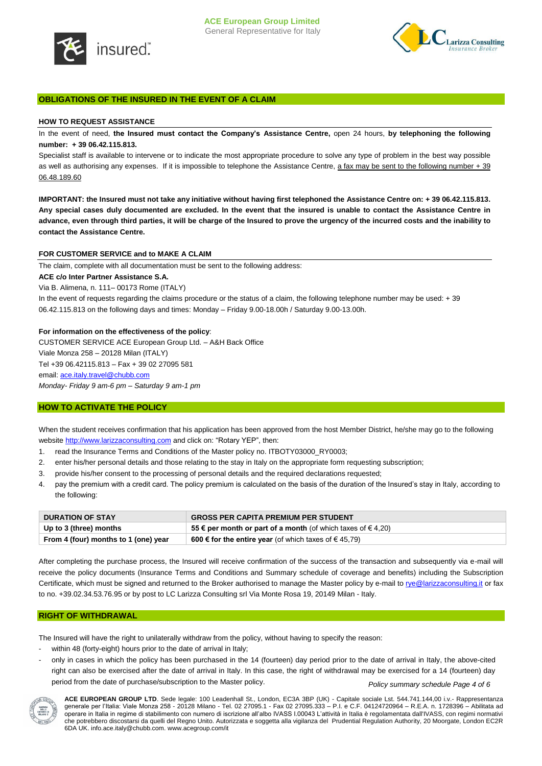



### **OBLIGATIONS OF THE INSURED IN THE EVENT OF A CLAIM**

#### **HOW TO REQUEST ASSISTANCE**

In the event of need, **the Insured must contact the Company's Assistance Centre,** open 24 hours, **by telephoning the following number: + 39 06.42.115.813.**

Specialist staff is available to intervene or to indicate the most appropriate procedure to solve any type of problem in the best way possible as well as authorising any expenses. If it is impossible to telephone the Assistance Centre, a fax may be sent to the following number + 39 06.48.189.60

**IMPORTANT: the Insured must not take any initiative without having first telephoned the Assistance Centre on: + 39 06.42.115.813. Any special cases duly documented are excluded. In the event that the insured is unable to contact the Assistance Centre in advance, even through third parties, it will be charge of the Insured to prove the urgency of the incurred costs and the inability to contact the Assistance Centre.**

#### **FOR CUSTOMER SERVICE and to MAKE A CLAIM**

The claim, complete with all documentation must be sent to the following address:

#### **ACE c/o Inter Partner Assistance S.A.**

Via B. Alimena, n. 111– 00173 Rome (ITALY)

In the event of requests regarding the claims procedure or the status of a claim, the following telephone number may be used: +39 06.42.115.813 on the following days and times: Monday – Friday 9.00-18.00h / Saturday 9.00-13.00h.

#### **For information on the effectiveness of the policy**:

CUSTOMER SERVICE ACE European Group Ltd. – A&H Back Office Viale Monza 258 – 20128 Milan (ITALY) Tel +39 06.42115.813 – Fax + 39 02 27095 581 email[: ace.italy.travel@chubb.com](mailto:ace.italy.travel@chubb.com) *Monday- Friday 9 am-6 pm – Saturday 9 am-1 pm*

### **HOW TO ACTIVATE THE POLICY**

When the student receives confirmation that his application has been approved from the host Member District, he/she may go to the following website [http://www.larizzaconsulting.com](http://www.larizzaconsulting.com/) and click on: "Rotary YEP", then:

- 1. read the Insurance Terms and Conditions of the Master policy no. ITBOTY03000\_RY0003;
- 2. enter his/her personal details and those relating to the stay in Italy on the appropriate form requesting subscription;
- 3. provide his/her consent to the processing of personal details and the required declarations requested;
- 4. pay the premium with a credit card. The policy premium is calculated on the basis of the duration of the Insured's stay in Italy, according to the following:

| <b>DURATION OF STAY</b>              | <b>GROSS PER CAPITA PREMIUM PER STUDENT</b>                      |
|--------------------------------------|------------------------------------------------------------------|
| Up to 3 (three) months               | 55 € per month or part of a month (of which taxes of $\in$ 4,20) |
| From 4 (four) months to 1 (one) year | <b>600 € for the entire year</b> (of which taxes of €45,79)      |

After completing the purchase process, the Insured will receive confirmation of the success of the transaction and subsequently via e-mail will receive the policy documents (Insurance Terms and Conditions and Summary schedule of coverage and benefits) including the Subscription Certificate, which must be signed and returned to the Broker authorised to manage the Master policy by e-mail t[o rye@larizzaconsulting.it](mailto:rye@larizzaconsulting.it) or fax to no. +39.02.34.53.76.95 or by post to LC Larizza Consulting srl Via Monte Rosa 19, 20149 Milan - Italy.

#### **RIGHT OF WITHDRAWAL**

The Insured will have the right to unilaterally withdraw from the policy, without having to specify the reason:

- within 48 (forty-eight) hours prior to the date of arrival in Italy;
- *Policy summary schedule Page 4 of 6* - only in cases in which the policy has been purchased in the 14 (fourteen) day period prior to the date of arrival in Italy, the above-cited right can also be exercised after the date of arrival in Italy. In this case, the right of withdrawal may be exercised for a 14 (fourteen) day period from the date of purchase/subscription to the Master policy.